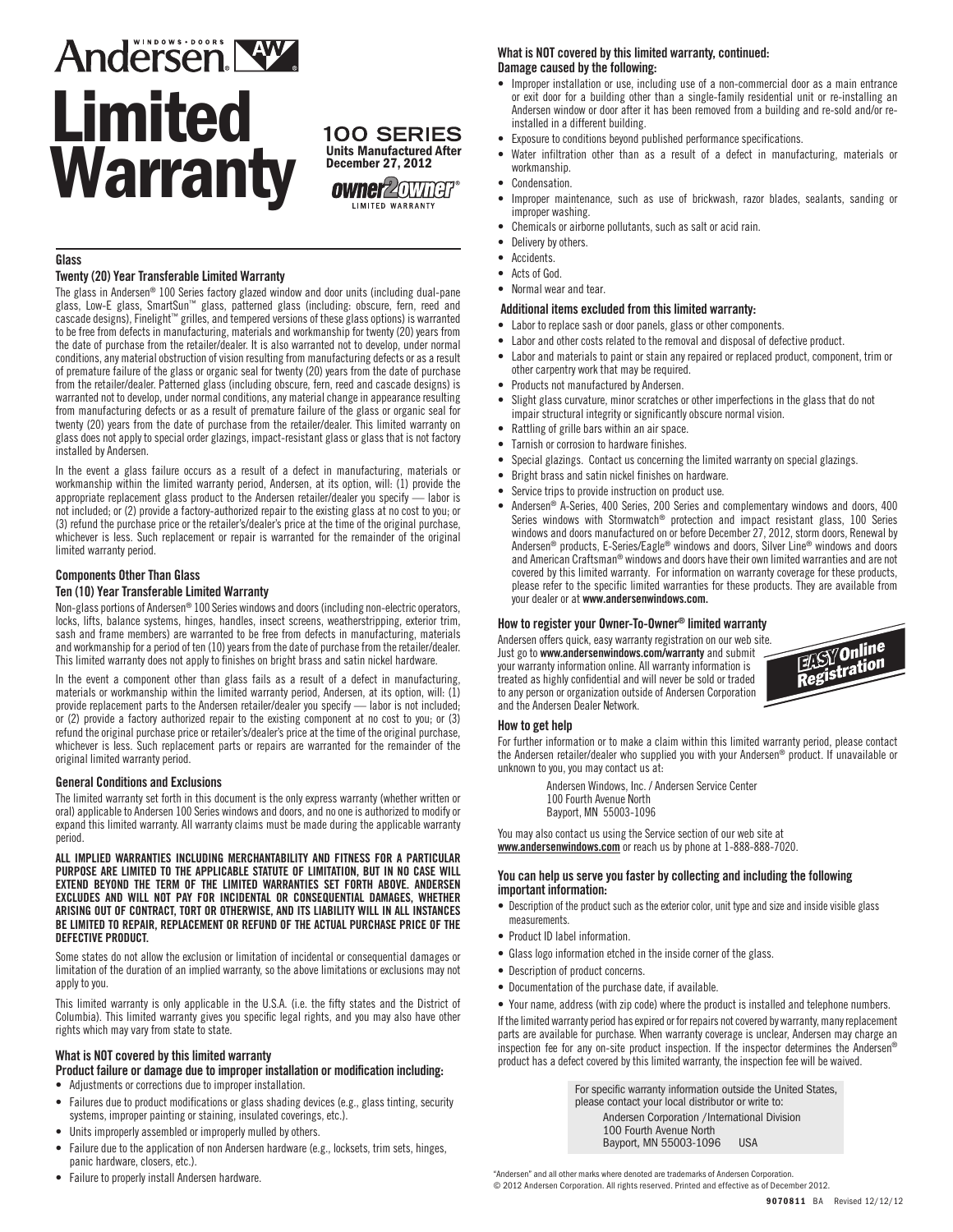# Andersen NW. Limited **Warranty Manufactured After**

December 27, 2012



# **Glass**

## Twenty (20) Year Transferable Limited Warranty

The glass in Andersen® 100 Series factory glazed window and door units (including dual-pane glass, Low-E glass, SmartSun™ glass, patterned glass (including: obscure, fern, reed and cascade designs), Finelight™ grilles, and tempered versions of these glass options) is warranted to be free from defects in manufacturing, materials and workmanship for twenty (20) years from the date of purchase from the retailer/dealer. It is also warranted not to develop, under normal conditions, any material obstruction of vision resulting from manufacturing defects or as a result of premature failure of the glass or organic seal for twenty (20) years from the date of purchase from the retailer/dealer. Patterned glass (including obscure, fern, reed and cascade designs) is warranted not to develop, under normal conditions, any material change in appearance resulting from manufacturing defects or as a result of premature failure of the glass or organic seal for twenty (20) years from the date of purchase from the retailer/dealer. This limited warranty on glass does not apply to special order glazings, impact-resistant glass or glass that is not factory installed by Andersen.

In the event a glass failure occurs as a result of a defect in manufacturing, materials or workmanship within the limited warranty period, Andersen, at its option, will: (1) provide the appropriate replacement glass product to the Andersen retailer/dealer you specify — labor is not included; or (2) provide a factory-authorized repair to the existing glass at no cost to you; or (3) refund the purchase price or the retailer's/dealer's price at the time of the original purchase, whichever is less. Such replacement or repair is warranted for the remainder of the original limited warranty period.

# Components Other Than Glass

# Ten (10) Year Transferable Limited Warranty

Non-glass portions of Andersen® 100 Series windows and doors (including non-electric operators, locks, lifts, balance systems, hinges, handles, insect screens, weatherstripping, exterior trim, sash and frame members) are warranted to be free from defects in manufacturing, materials and workmanship for a period of ten (10) years from the date of purchase from the retailer/dealer. This limited warranty does not apply to finishes on bright brass and satin nickel hardware.

In the event a component other than glass fails as a result of a defect in manufacturing, materials or workmanship within the limited warranty period, Andersen, at its option, will: (1) provide replacement parts to the Andersen retailer/dealer you specify — labor is not included; or (2) provide a factory authorized repair to the existing component at no cost to you; or (3) refund the original purchase price or retailer's/dealer's price at the time of the original purchase, whichever is less. Such replacement parts or repairs are warranted for the remainder of the original limited warranty period.

## General Conditions and Exclusions

The limited warranty set forth in this document is the only express warranty (whether written or oral) applicable to Andersen 100 Series windows and doors, and no one is authorized to modify or expand this limited warranty. All warranty claims must be made during the applicable warranty period.

ALL IMPLIED WARRANTIES INCLUDING MERCHANTABILITY AND FITNESS FOR A PARTICULAR PURPOSE ARE LIMITED TO THE APPLICABLE STATUTE OF LIMITATION, BUT IN NO CASE WILL EXTEND BEYOND THE TERM OF THE LIMITED WARRANTIES SET FORTH ABOVE. ANDERSEN EXCLUDES AND WILL NOT PAY FOR INCIDENTAL OR CONSEQUENTIAL DAMAGES, WHETHER ARISING OUT OF CONTRACT, TORT OR OTHERWISE, AND ITS LIABILITY WILL IN ALL INSTANCES BE LIMITED TO REPAIR, REPLACEMENT OR REFUND OF THE ACTUAL PURCHASE PRICE OF THE DEFECTIVE PRODUCT.

Some states do not allow the exclusion or limitation of incidental or consequential damages or limitation of the duration of an implied warranty, so the above limitations or exclusions may not apply to you.

This limited warranty is only applicable in the U.S.A. (i.e. the fifty states and the District of Columbia). This limited warranty gives you specific legal rights, and you may also have other rights which may vary from state to state.

# What is NOT covered by this limited warranty

## Product failure or damage due to improper installation or modification including:

- Adjustments or corrections due to improper installation.
- Failures due to product modifications or glass shading devices (e.g., glass tinting, security systems, improper painting or staining, insulated coverings, etc.).
- Units improperly assembled or improperly mulled by others.
- Failure due to the application of non Andersen hardware (e.g., locksets, trim sets, hinges, panic hardware, closers, etc.).
- Failure to properly install Andersen hardware.

# What is NOT covered by this limited warranty, continued: Damage caused by the following:

- • Improper installation or use, including use of a non-commercial door as a main entrance or exit door for a building other than a single-family residential unit or re-installing an Andersen window or door after it has been removed from a building and re-sold and/or reinstalled in a different building.
- Exposure to conditions beyond published performance specifications.
- • Water infiltration other than as a result of a defect in manufacturing, materials or workmanship.
- • Condensation. • Improper maintenance, such as use of brickwash, razor blades, sealants, sanding or
- Chemicals or airborne pollutants, such as salt or acid rain.
- Delivery by others.

improper washing.

- • Accidents.
- • Acts of God.
- Normal wear and tear.

# Additional items excluded from this limited warranty:

- • Labor to replace sash or door panels, glass or other components.
- Labor and other costs related to the removal and disposal of defective product.
- Labor and materials to paint or stain any repaired or replaced product, component, trim or other carpentry work that may be required.
- • Products not manufactured by Andersen.
- Slight glass curvature, minor scratches or other imperfections in the glass that do not impair structural integrity or significantly obscure normal vision.
- • Rattling of grille bars within an air space.
- Tarnish or corrosion to hardware finishes.
- Special glazings. Contact us concerning the limited warranty on special glazings.
- Bright brass and satin nickel finishes on hardware.
- Service trips to provide instruction on product use.
- Andersen® A-Series, 400 Series, 200 Series and complementary windows and doors, 400 Series windows with Stormwatch® protection and impact resistant glass, 100 Series windows and doors manufactured on or before December 27, 2012, storm doors, Renewal by Andersen® products, E-Series/Eagle® windows and doors, Silver Line® windows and doors and American Craftsman® windows and doors have their own limited warranties and are not covered by this limited warranty. For information on warranty coverage for these products, please refer to the specific limited warranties for these products. They are available from your dealer or at www.andersenwindows.com.

# How to register your Owner-To-Owner® limited warranty

Andersen offers quick, easy warranty registration on our web site. Just go to www.andersenwindows.com/warranty and submit your warranty information online. All warranty information is treated as highly confidential and will never be sold or traded to any person or organization outside of Andersen Corporation and the Andersen Dealer Network.



#### How to get help

For further information or to make a claim within this limited warranty period, please contact the Andersen retailer/dealer who supplied you with your Andersen® product. If unavailable or unknown to you, you may contact us at:

> Andersen Windows, Inc. / Andersen Service Center 100 Fourth Avenue North Bayport, MN 55003-1096

You may also contact us using the Service section of our web site at www.andersenwindows.com or reach us by phone at 1-888-888-7020.

#### You can help us serve you faster by collecting and including the following important information:

- Description of the product such as the exterior color, unit type and size and inside visible glass measurements.
- Product ID label information.
- Glass logo information etched in the inside corner of the glass.
- Description of product concerns.
- Documentation of the purchase date, if available.

• Your name, address (with zip code) where the product is installed and telephone numbers. If the limited warranty period has expired or for repairs not covered by warranty, many replacement parts are available for purchase. When warranty coverage is unclear, Andersen may charge an inspection fee for any on-site product inspection. If the inspector determines the Andersen® product has a defect covered by this limited warranty, the inspection fee will be waived.

> For specific warranty information outside the United States, please contact your local distributor or write to: Andersen Corporation /International Division

100 Fourth Avenue North Bayport, MN 55003-1096 USA

"Andersen" and all other marks where denoted are trademarks of Andersen Corporation. © 2012 Andersen Corporation. All rights reserved. Printed and effective as of December 2012.